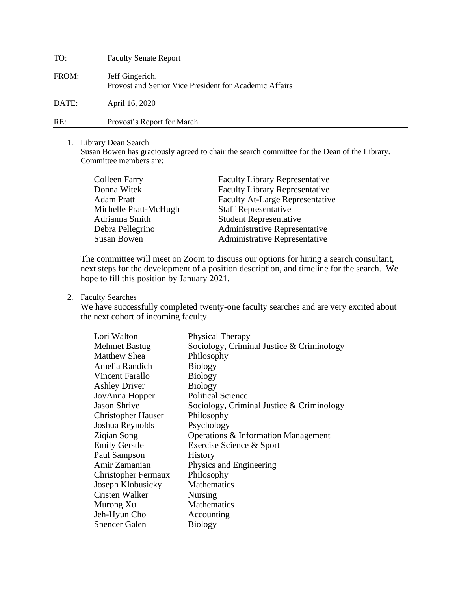| TO:   | <b>Faculty Senate Report</b>                                              |
|-------|---------------------------------------------------------------------------|
| FROM: | Jeff Gingerich.<br>Provost and Senior Vice President for Academic Affairs |
| DATE: | April 16, 2020                                                            |
| RE:   | Provost's Report for March                                                |

## 1. Library Dean Search

Susan Bowen has graciously agreed to chair the search committee for the Dean of the Library. Committee members are:

| <b>Colleen Farry</b>  | <b>Faculty Library Representative</b>  |
|-----------------------|----------------------------------------|
| Donna Witek           | <b>Faculty Library Representative</b>  |
| <b>Adam Pratt</b>     | <b>Faculty At-Large Representative</b> |
| Michelle Pratt-McHugh | <b>Staff Representative</b>            |
| Adrianna Smith        | <b>Student Representative</b>          |
| Debra Pellegrino      | <b>Administrative Representative</b>   |
| <b>Susan Bowen</b>    | Administrative Representative          |

The committee will meet on Zoom to discuss our options for hiring a search consultant, next steps for the development of a position description, and timeline for the search. We hope to fill this position by January 2021.

2. Faculty Searches

We have successfully completed twenty-one faculty searches and are very excited about the next cohort of incoming faculty.

| Lori Walton                | Physical Therapy                          |
|----------------------------|-------------------------------------------|
| <b>Mehmet Bastug</b>       | Sociology, Criminal Justice & Criminology |
| <b>Matthew Shea</b>        | Philosophy                                |
| Amelia Randich             | <b>Biology</b>                            |
| Vincent Farallo            | <b>Biology</b>                            |
| <b>Ashley Driver</b>       | <b>Biology</b>                            |
| JoyAnna Hopper             | <b>Political Science</b>                  |
| <b>Jason Shrive</b>        | Sociology, Criminal Justice & Criminology |
| <b>Christopher Hauser</b>  | Philosophy                                |
| Joshua Reynolds            | Psychology                                |
| Ziqian Song                | Operations & Information Management       |
| <b>Emily Gerstle</b>       | Exercise Science & Sport                  |
| Paul Sampson               | <b>History</b>                            |
| Amir Zamanian              | Physics and Engineering                   |
| <b>Christopher Fermaux</b> | Philosophy                                |
| Joseph Klobusicky          | Mathematics                               |
| Cristen Walker             | Nursing                                   |
| Murong Xu                  | Mathematics                               |
| Jeh-Hyun Cho               | Accounting                                |
| <b>Spencer Galen</b>       | <b>Biology</b>                            |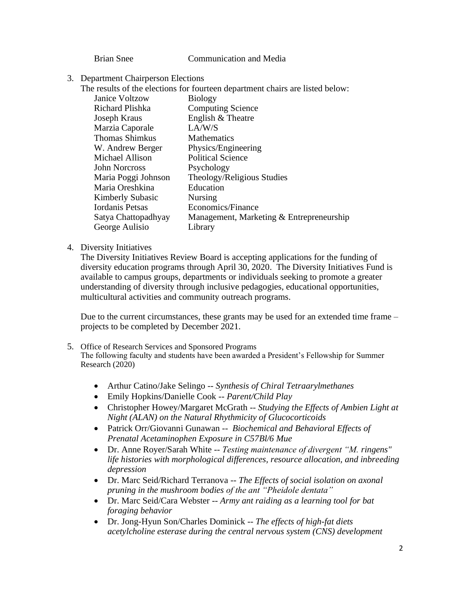Brian Snee Communication and Media

3. Department Chairperson Elections

The results of the elections for fourteen department chairs are listed below:

| <b>Janice Voltzow</b> | <b>Biology</b>                           |
|-----------------------|------------------------------------------|
| Richard Plishka       | <b>Computing Science</b>                 |
| Joseph Kraus          | English & Theatre                        |
| Marzia Caporale       | LA/W/S                                   |
| <b>Thomas Shimkus</b> | <b>Mathematics</b>                       |
| W. Andrew Berger      | Physics/Engineering                      |
| Michael Allison       | <b>Political Science</b>                 |
| John Norcross         | Psychology                               |
| Maria Poggi Johnson   | Theology/Religious Studies               |
| Maria Oreshkina       | Education                                |
| Kimberly Subasic      | <b>Nursing</b>                           |
| Iordanis Petsas       | Economics/Finance                        |
| Satya Chattopadhyay   | Management, Marketing & Entrepreneurship |
| George Aulisio        | Library                                  |

## 4. Diversity Initiatives

The Diversity Initiatives Review Board is accepting applications for the funding of diversity education programs through April 30, 2020. The Diversity Initiatives Fund is available to campus groups, departments or individuals seeking to promote a greater understanding of diversity through inclusive pedagogies, educational opportunities, multicultural activities and community outreach programs.

Due to the current circumstances, these grants may be used for an extended time frame – projects to be completed by December 2021.

- 5. Office of Research Services and Sponsored Programs The following faculty and students have been awarded a President's Fellowship for Summer Research (2020)
	- Arthur Catino/Jake Selingo -- *Synthesis of Chiral Tetraarylmethanes*
	- Emily Hopkins/Danielle Cook -- *Parent/Child Play*
	- Christopher Howey/Margaret McGrath -- *Studying the Effects of Ambien Light at Night (ALAN) on the Natural Rhythmicity of Glucocorticoids*
	- Patrick Orr/Giovanni Gunawan -- *Biochemical and Behavioral Effects of Prenatal Acetaminophen Exposure in C57Bl/6 Mue*
	- Dr. Anne Royer/Sarah White -- *Testing maintenance of divergent "M. ringens" life histories with morphological differences, resource allocation, and inbreeding depression*
	- Dr. Marc Seid/Richard Terranova -- *The Effects of social isolation on axonal pruning in the mushroom bodies of the ant "Pheidole dentata"*
	- Dr. Marc Seid/Cara Webster -- *Army ant raiding as a learning tool for bat foraging behavior*
	- Dr. Jong-Hyun Son/Charles Dominick -- *The effects of high-fat diets acetylcholine esterase during the central nervous system (CNS) development*